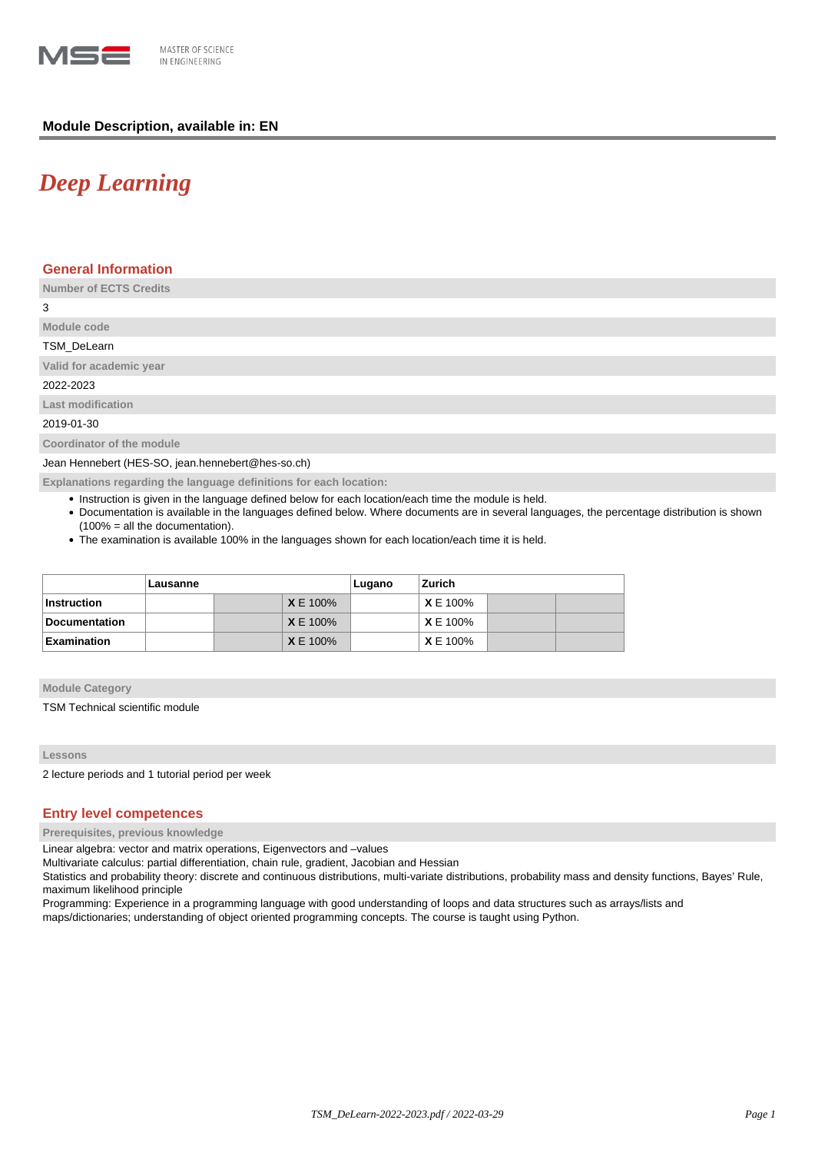

# **Module Description, available in: EN**

# *Deep Learning*

## **General Information**

**Number of ECTS Credits**

3

# **Module code** TSM\_DeLearn

**Valid for academic year**

2022-2023

**Last modification**

2019-01-30

**Coordinator of the module**

Jean Hennebert (HES-SO, jean.hennebert@hes-so.ch)

**Explanations regarding the language definitions for each location:**

- Instruction is given in the language defined below for each location/each time the module is held.
- Documentation is available in the languages defined below. Where documents are in several languages, the percentage distribution is shown (100% = all the documentation).
- The examination is available 100% in the languages shown for each location/each time it is held.

|                      | Lausanne |  |                 | Lugano | Zurich          |  |  |
|----------------------|----------|--|-----------------|--------|-----------------|--|--|
| Instruction          |          |  | <b>X</b> E 100% |        | <b>X</b> E 100% |  |  |
| <b>Documentation</b> |          |  | <b>X</b> E 100% |        | <b>X</b> E 100% |  |  |
| <b>Examination</b>   |          |  | <b>X</b> E 100% |        | <b>X</b> E 100% |  |  |

#### **Module Category**

TSM Technical scientific module

### **Lessons**

2 lecture periods and 1 tutorial period per week

# **Entry level competences**

**Prerequisites, previous knowledge**

Linear algebra: vector and matrix operations, Eigenvectors and –values

Multivariate calculus: partial differentiation, chain rule, gradient, Jacobian and Hessian

Statistics and probability theory: discrete and continuous distributions, multi-variate distributions, probability mass and density functions, Bayes' Rule, maximum likelihood principle

Programming: Experience in a programming language with good understanding of loops and data structures such as arrays/lists and maps/dictionaries; understanding of object oriented programming concepts. The course is taught using Python.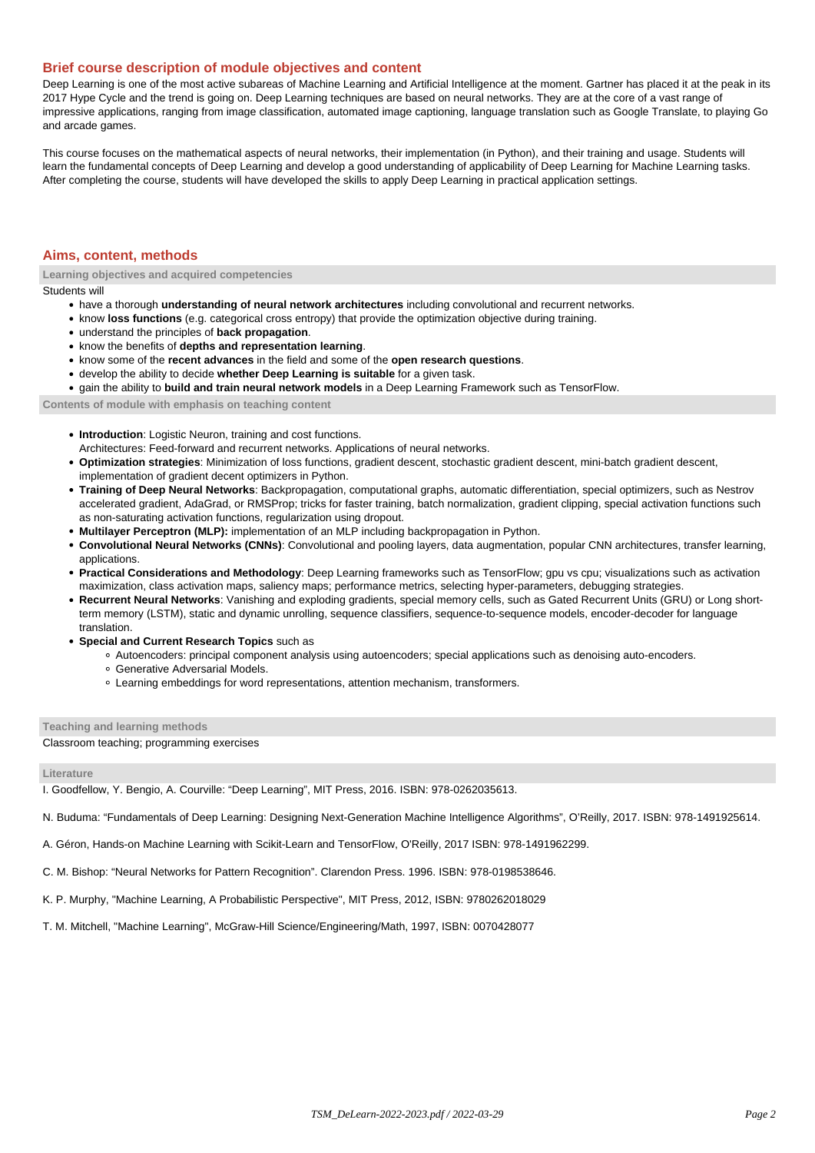## **Brief course description of module objectives and content**

Deep Learning is one of the most active subareas of Machine Learning and Artificial Intelligence at the moment. Gartner has placed it at the peak in its 2017 Hype Cycle and the trend is going on. Deep Learning techniques are based on neural networks. They are at the core of a vast range of impressive applications, ranging from image classification, automated image captioning, language translation such as Google Translate, to playing Go and arcade games.

This course focuses on the mathematical aspects of neural networks, their implementation (in Python), and their training and usage. Students will learn the fundamental concepts of Deep Learning and develop a good understanding of applicability of Deep Learning for Machine Learning tasks. After completing the course, students will have developed the skills to apply Deep Learning in practical application settings.

### **Aims, content, methods**

**Learning objectives and acquired competencies**

Students will

- have a thorough **understanding of neural network architectures** including convolutional and recurrent networks.
- know **loss functions** (e.g. categorical cross entropy) that provide the optimization objective during training.
- understand the principles of **back propagation**.
- **know the benefits of depths and representation learning.**
- know some of the **recent advances** in the field and some of the **open research questions**.
- develop the ability to decide **whether Deep Learning is suitable** for a given task.
- gain the ability to **build and train neural network models** in a Deep Learning Framework such as TensorFlow.

**Contents of module with emphasis on teaching content**

- **Introduction**: Logistic Neuron, training and cost functions.
- Architectures: Feed-forward and recurrent networks. Applications of neural networks.
- **Optimization strategies**: Minimization of loss functions, gradient descent, stochastic gradient descent, mini-batch gradient descent, implementation of gradient decent optimizers in Python.
- **Training of Deep Neural Networks**: Backpropagation, computational graphs, automatic differentiation, special optimizers, such as Nestrov accelerated gradient, AdaGrad, or RMSProp; tricks for faster training, batch normalization, gradient clipping, special activation functions such as non-saturating activation functions, regularization using dropout.
- **Multilayer Perceptron (MLP):** implementation of an MLP including backpropagation in Python.
- **Convolutional Neural Networks (CNNs)**: Convolutional and pooling layers, data augmentation, popular CNN architectures, transfer learning, applications.
- **Practical Considerations and Methodology**: Deep Learning frameworks such as TensorFlow; gpu vs cpu; visualizations such as activation maximization, class activation maps, saliency maps; performance metrics, selecting hyper-parameters, debugging strategies.
- **Recurrent Neural Networks**: Vanishing and exploding gradients, special memory cells, such as Gated Recurrent Units (GRU) or Long shortterm memory (LSTM), static and dynamic unrolling, sequence classifiers, sequence-to-sequence models, encoder-decoder for language translation.
- **Special and Current Research Topics** such as
	- Autoencoders: principal component analysis using autoencoders; special applications such as denoising auto-encoders.
	- Generative Adversarial Models.
	- Learning embeddings for word representations, attention mechanism, transformers.

#### **Teaching and learning methods**

## Classroom teaching; programming exercises

#### **Literature**

I. Goodfellow, Y. Bengio, A. Courville: "Deep Learning", MIT Press, 2016. ISBN: 978-0262035613.

N. Buduma: "Fundamentals of Deep Learning: Designing Next-Generation Machine Intelligence Algorithms", O'Reilly, 2017. ISBN: 978-1491925614.

- A. Géron, Hands-on Machine Learning with Scikit-Learn and TensorFlow, O'Reilly, 2017 ISBN: 978-1491962299.
- C. M. Bishop: "Neural Networks for Pattern Recognition". Clarendon Press. 1996. ISBN: 978-0198538646.
- K. P. Murphy, "Machine Learning, A Probabilistic Perspective", MIT Press, 2012, ISBN: 9780262018029
- T. M. Mitchell, "Machine Learning", McGraw-Hill Science/Engineering/Math, 1997, ISBN: 0070428077